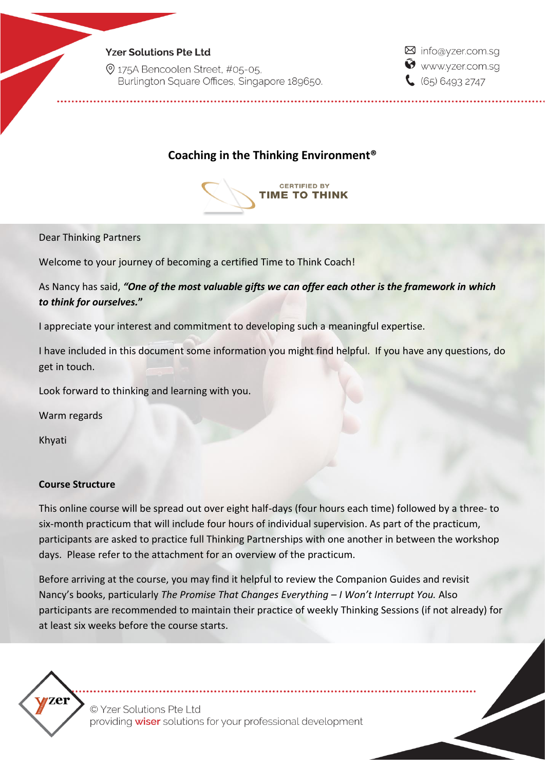### **Yzer Solutions Pte Ltd**

2 175A Bencoolen Street, #05-05. Burlington Square Offices, Singapore 189650. ⊠ info@yzer.com.sq Www.yzer.com.sq  $(65) 6493 2747$ 

# **Coaching in the Thinking Environment®**



Dear Thinking Partners

Welcome to your journey of becoming a certified Time to Think Coach!

As Nancy has said, *"One of the most valuable gifts we can offer each other is the framework in which to think for ourselves.***"**

I appreciate your interest and commitment to developing such a meaningful expertise.

I have included in this document some information you might find helpful. If you have any questions, do get in touch.

Look forward to thinking and learning with you.

Warm regards

Khyati

### **Course Structure**

This online course will be spread out over eight half-days (four hours each time) followed by a three- to six-month practicum that will include four hours of individual supervision. As part of the practicum, participants are asked to practice full Thinking Partnerships with one another in between the workshop days. Please refer to the attachment for an overview of the practicum.

Before arriving at the course, you may find it helpful to review the Companion Guides and revisit Nancy's books, particularly *The Promise That Changes Everything – I Won't Interrupt You.* Also participants are recommended to maintain their practice of weekly Thinking Sessions (if not already) for at least six weeks before the course starts.



© Yzer Solutions Pte Ltd providing wiser solutions for your professional development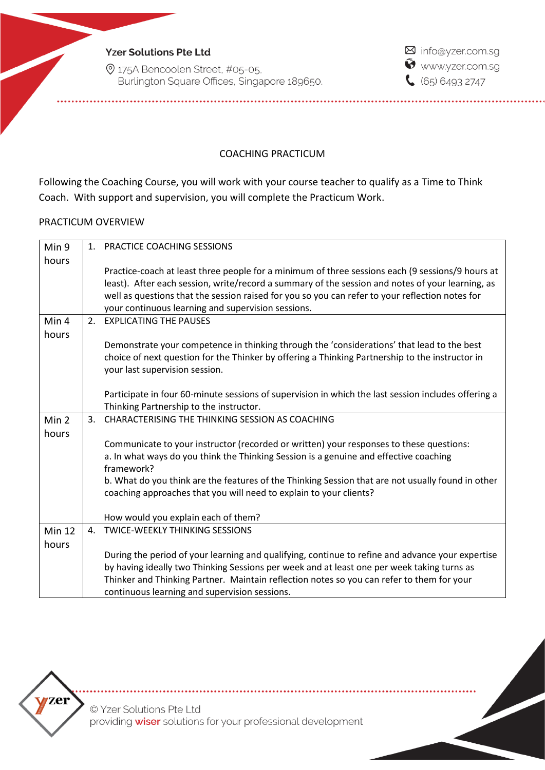**Yzer Solutions Pte Ltd** 

© 175A Bencoolen Street, #05-05, Burlington Square Offices, Singapore 189650. ⊠ info@yzer.com.sg www.yzer.com.sg  $65064932747$ 

## COACHING PRACTICUM

Following the Coaching Course, you will work with your course teacher to qualify as a Time to Think Coach. With support and supervision, you will complete the Practicum Work.

#### PRACTICUM OVERVIEW

| Min 9         | 1 <sup>1</sup> | PRACTICE COACHING SESSIONS                                                                          |
|---------------|----------------|-----------------------------------------------------------------------------------------------------|
| hours         |                |                                                                                                     |
|               |                | Practice-coach at least three people for a minimum of three sessions each (9 sessions/9 hours at    |
|               |                | least). After each session, write/record a summary of the session and notes of your learning, as    |
|               |                | well as questions that the session raised for you so you can refer to your reflection notes for     |
|               |                | your continuous learning and supervision sessions.                                                  |
| Min 4         |                | 2. EXPLICATING THE PAUSES                                                                           |
| hours         |                |                                                                                                     |
|               |                | Demonstrate your competence in thinking through the 'considerations' that lead to the best          |
|               |                | choice of next question for the Thinker by offering a Thinking Partnership to the instructor in     |
|               |                | your last supervision session.                                                                      |
|               |                |                                                                                                     |
|               |                | Participate in four 60-minute sessions of supervision in which the last session includes offering a |
|               |                | Thinking Partnership to the instructor.                                                             |
| Min 2         | 3.             | CHARACTERISING THE THINKING SESSION AS COACHING                                                     |
| hours         |                |                                                                                                     |
|               |                | Communicate to your instructor (recorded or written) your responses to these questions:             |
|               |                | a. In what ways do you think the Thinking Session is a genuine and effective coaching<br>framework? |
|               |                | b. What do you think are the features of the Thinking Session that are not usually found in other   |
|               |                | coaching approaches that you will need to explain to your clients?                                  |
|               |                |                                                                                                     |
|               |                | How would you explain each of them?                                                                 |
| <b>Min 12</b> | 4.             | <b>TWICE-WEEKLY THINKING SESSIONS</b>                                                               |
| hours         |                |                                                                                                     |
|               |                | During the period of your learning and qualifying, continue to refine and advance your expertise    |
|               |                | by having ideally two Thinking Sessions per week and at least one per week taking turns as          |
|               |                | Thinker and Thinking Partner. Maintain reflection notes so you can refer to them for your           |
|               |                | continuous learning and supervision sessions.                                                       |



© Yzer Solutions Pte Ltd providing wiser solutions for your professional development